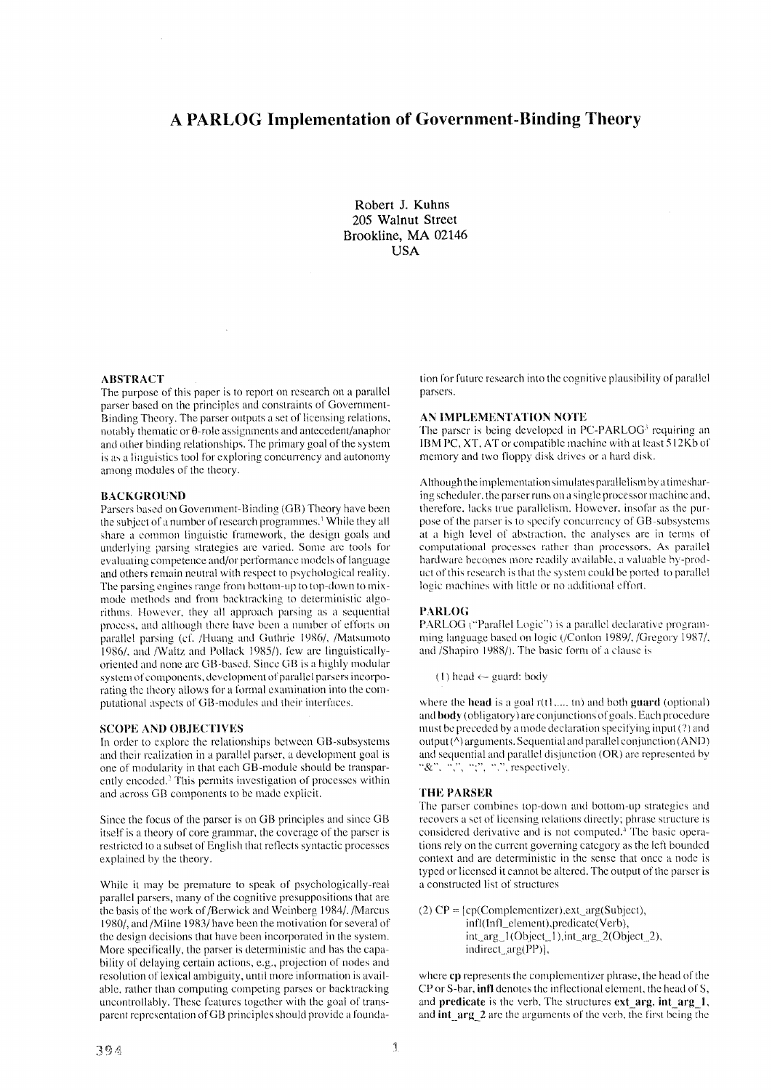# **A PARLOG Implementation of Government-Binding Theory**

**Robert J. Kuhns 205 Walnut Street Brookline, MA 02146 USA** 

# ABSTRACT

The purpose of this paper is to report on research on a parallel parser based on the principles and constraints of Government-Binding Theory. The parser outputs a set of licensing relations, notably thematic or 0-role assignments and antecedent/anaphor and other binding relationships, The primary goal of the system ix as a liaguistics tool for exploring concurrency and autonomy among modules of the theory.

 $\sim$ 

#### BACKGROUND

Parsers based on Government-Binding (GB) Theory have been the subject of a number of research programmes.<sup>1</sup> While they all share a common linguistic framework, the design goals and underlying parsing strategies are varied. Some are tools for ewduating competence and/or performance models of language and others remain neutral with respect to psychological reality. The parsing engines range from bottom-up to top-down to mixmode methods and from backtracking to deterministic algorithms. However, they all approach parsing as a sequential process, and although there have been a number of efforts on parallel parsing (cf. /Huang and Guthrie 1986/, /Matsumoto 1986/, and/Waltz and Pollack 1985/), few are linguisticallyoriented and none arc GB-based. Since GB is a highly modular system of components, development of parallel parsers incorporating the theory allows for a formal examination into the computational aspects of GB-modules and their interfaces.

# SCOPE AND OBJECTIVES

In order to explore the relationships between GB-subsystems and their realization in a parallel parser, a development goal is one of modularity in that each GB-module should be transparently encoded.<sup>2</sup> This permits investigation of processes within and across GB components to be made explicit.

Since the focus of the parser is on GB principles and since GB itself is a theory of core grammar, the coverage of the parser is restricted to a subset of English that reflects syntactic processes explained by the theory.

While it may be premature to speak of psychologically-real parallel parsers, many of the cognitive presuppositions that are the basis of the work of/Berwick and Weinberg 1984/./Marcus 1980/, and/Milne 1983/have been the motivation for several of the design decisions that have been incorporated in the system. More specifically, the parser is deterministic and has the capability of delaying certain actions, e.g., projection of nodes and resolution of lexical ambiguity, until more information is available, rather than computing competing parses or backtracking uncontrollably. These features together with the goal of transparent representation of GB principles should provide a foundation for future research into the cognitive plausibility of parallel parsers.

### AN *IMPLEMENTATION* NOTE

The parser is being developed in PC-PARLOG<sup>3</sup> requiring an IBM PC, XT, AT or compatible machine with at least 512Kb of memory and two floppy disk drivcs or a hard disk.

Although the implementation simulates parallelism by a timesharing scheduler, the parser runs on a single processor machine and, therefore, lacks true parallelism. However, insofar as the purpose of the parser is to specify concurrency of GB-subsystems at a high level of abstraction, the analyses are in terms of computational processes rather than processors. As parallel hardware becomes more readily available, a valuable by-product of this research is that the system could be ported to parallel logic machines with little or no additional effort.

### PARLOG

PARLOG ("Parallel Logic") is a parallel declarative programming language based on logic (/Conlon 1989/, /Gregory 1987/, and /Shapiro 1988/). The basic form of a clause is

(1) head  $\leftarrow$  guard: body

where the **head** is a goal  $r(t1, \ldots, t_n)$  and both **guard** (optional) and **body** (obligatory) are conjunctions of goals. Each procedure must be preceded by a mode declaration specifying input (?) and output  $(^\Lambda)$  arguments. Sequential and parallel conjunction  $(AND)$ and sequential and parallel disjunction (OR) are represented by " $\&$ ", ",", ",", ",", respectively.

### THE PARSER

The parser combines top-down and bottom-up strategies and recovers a set of licensing relations directly; phrase structure is considered derivative and is not computed.<sup>4</sup> The basic operations rely on the current governing category as the left bounded context and are deterministic in the sense that once a node is typed or licensed it cannot be altered. The output of the parser is a constructed list of structures

(2)  $CP = [cp(Complementizer), ext_{arg(Subject)},$ infl(Infl element),predicate(Verb),  $int_{arg_1} 1(Object_1), int_{arg_2} 2(Object_2),$ indirect\_arg(PP)],

where **cp** represents the complementizer phrase, the head of the CP or S-bar, **infl** denotes the inflectional element, the head of S, and predicate is the verb. The structures  $ext{ arg, int arg 1}$ , and  $int$  arg 2 are the arguments of the verb, the first being the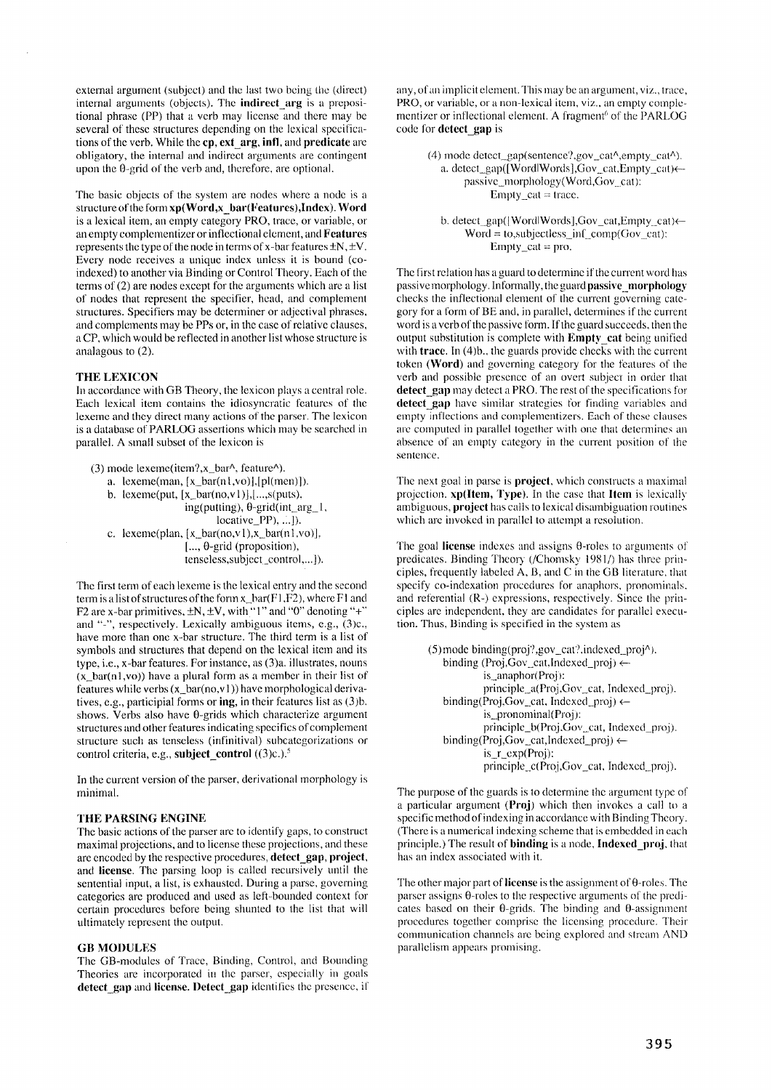external argument (subject) and the last two being the (direct) internal arguments (objects). The indireet\_arg is a prepositional phrase (PP) that a verb may license and there may be several of these structures depending on the lexical specifications of the verb. While the cp, ext\_arg, infl, and predicate are obligatory, the internal and indirect arguments are contingent upon the 0-grid of the verb and, therefore, are optional.

The basic objects of the system are nodes where a node is a structure of the form  $xp(Word.x$  bar(Features), Index). Word is a lexical item, an empty category PRO, trace, or variable, or an empty complementizer or inflectional element, and Features represents the type of the node in terms of x-bar features  $\pm N, \pm V$ . Every node receives a unique index unless it is bound (coindexed) to another via Binding or Control Theory. Each of the terms of (2) are nodes except for the arguments which are a list of nodes that represent the specifier, head, and complement structures. Specifiers may be determiner or adjectival phrases, and complements may be PPs or, in the case of relative clauses, a CP, which would be reflected in another list whose structure is analagous to (2).

#### **THE LEXICON**

In accordance with GB Theory, the lexicon plays a central role. Each lexical item contains the idiosyncratic features of the lexeme and they direct many actions of the parser. The lexicon is a database of PARLOG assertions which may be searched in parallel. A small subset of the lexicon is

(3) mode lexeme(item?, $x_b$ bar^, feature^). a. lexeme(man,  $[x_bar(n],vo)]$ , [pl(men)]). b. lexeme(put,  $[x_bar(no,v1)]$ , ...,s(puts), ing(putting), 0-grid(int\_arg\_ **1,**   $locative$  PP $, ...$   $\ldots$   $\ldots$ c. lexeme(plan,  $[x_bar(no,v1),x_bar(n1,vo)],$ **[** .... 0-grid (proposition), tenseless, subject\_control,... ]).

The first term of each lexeme is the lexical entry and the second term is a list of structures of the form  $x$  bar( $F1$ ,  $F2$ ), where F1 and F2 are x-bar primitives,  $\pm N$ ,  $\pm V$ , with "l" and "0" denoting "+" and "-", respectively. Lexically ambiguous items, e.g., (3)c., have more than one x-bar structure. The third term is a list of symbols and structures that depend on the lexical item and its type, i.e., x-bar features. For instance, as (3)a. illustrates, nouns  $(x_bar(n1,vo))$  have a plural form as a member in their list of features while verbs  $(x_bar(no,v1))$  have morphological derivatives, e.g., participial forms or **ing, in** their features list as **(3)b.**  shows. Verbs also have  $\theta$ -grids which characterize argument structures and other features indicating specifics of complement structure such as tenseless (infinitival) subcatcgorizations or control criteria, e.g., subject\_control ((3)c.).<sup>5</sup>

In the current version of the parser, derivational morphology is minimal.

### **THE PARSING ENGINE**

The basic actions of the parser are to identify gaps, to construct maximal projections, and to license these projections, and these are encoded by the respective procedures, detect gap, project, and license. The parsing loop is called recursively until the sentemial input, a list, is exhausted. During a parse, governing categories are produced and used as left-bounded context for" certain procedures before being shunted to the list that will ultimately represent the output.

#### GB MODULES

The GB-modules of Trace, Binding, Control, and Bounding Theories are incorporated in the parser, especially in goals detect gap and license. Detect gap identifies the presence, if any, of an implicit element. This may be an argument, viz., trace, PRO, or variable, or a non-lexical item, viz., an empty complementizer or inflectional element. A fragment<sup>6</sup> of the PARLOG code for detect\_gap is

> (4) mode detect\_gap(sentence?,gov\_cat^,empty\_cat^). a. detect\_gap([WordlWords], $Gov\_cat$ ,Empty\_cat) $\leftarrow$ passive\_morphology(Word,Gov cat):  $Empty\_cat = trace.$

b. detect\_gap([WordlWords],Gov\_cat,Empty\_cat) <- $Word = to, subjectless_inf\_comp(Gov\_cat):$  $Empty\_cat = pro.$ 

The first relation has a guard to determine if the current word has passive morphology. Informally, the guard passive morphology checks the inflectional element of the current governing category for a form of BE and, in parallel, determines if the current word is a verb of the passive form. If the guard succeeds, then the output substitution is complete with **Empty\_eat** being unified with trace. In (4)b., the guards provide checks with the current token (Word) and governing category for the features of the verb and possible presence of an overt subject in order that **detect gap** may detect a PRO. The rest of the specifications for **detect gap** have similar strategies for finding variables and empty inflections and complementizers. Each of these clauses are computed in parallel together with one that determines an absence of an empty category in the current position of the sentence.

The next goal in parse is **project**, which constructs a maximal projection, xp(ltem, Type). In the case that Item is lexicalty ambiguous, project has calls to lexical disambiguation routines which are invoked in parallel to attempt a resolution.

The goal license indexes and assigns  $\theta$ -roles to arguments of predicates. Binding Theory (/Chomsky 1981/) has three principles, frequently labeled A, B, and C in the GB literature, that specify-co-indexation procedures for anaphors, pronominals. and referential (R-) expressions, respectively. Since the principles are independent, they are candidates for parallel execution. Thus, Binding is specified in the system as

> (5)mode binding(proj?,gov\_cat?,indexed\_proj^). binding (Proj,Gov\_cat,Indexed\_proj)  $\leftarrow$ is\_anaphor(Proj): principle\_a(Proj,Gov\_cat, Indexed\_proj). binding(Proj,Gov\_cat, Indexed\_proj)  $\leftarrow$ is\_pronominal(Proj): principle\_b(Proj,Gov\_cat, Indexed\_proj). binding(Proj,Gov\_cat,Indexed\_proj)  $\leftarrow$ is r\_cxp(Proj): principle\_c(Proj,Gov\_cat, Indexed\_proj).

The purpose of the guards is to determine the argument type of a particular argument (Proj) which then invokes a call to a specific method of indexing in accordance with Binding Theory. (There is a numerical indexing scheme that is embedded in each principle.) The result of binding is a node, Indexed\_proj, that has an index associated with it.

The other major part of license is the assignment of  $\theta$ -roles. The parser assigns  $\theta$ -roles to the respective arguments of the predicates based on their  $\theta$ -grids. The binding and  $\theta$ -assignment procedures together comprise the licensing procedure. Their communication channels are being explored and stream AND parallelism appears promising.